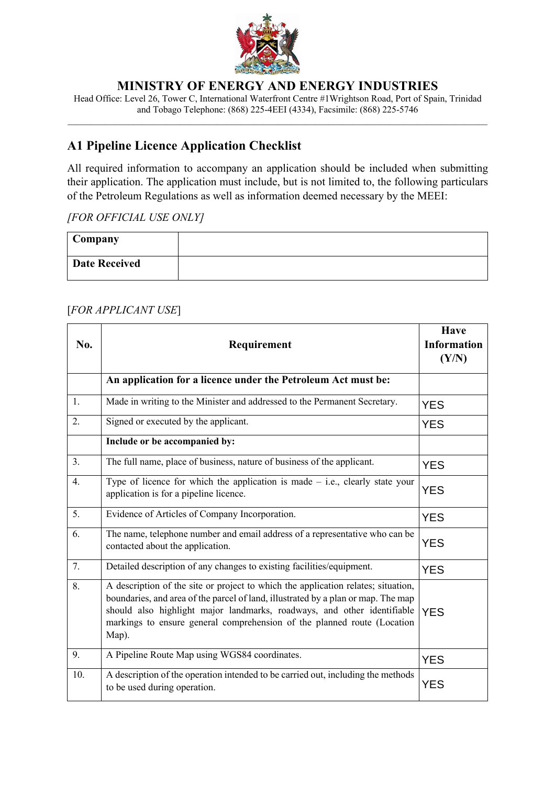

% \_\_\_\_\_\_\_\_\_\_\_\_\_\_\_\_\_\_\_\_\_\_\_\_\_\_\_\_\_\_\_\_\_\_\_\_\_\_\_\_\_\_\_\_\_\_\_\_\_\_\_\_\_\_\_\_\_\_\_\_\_\_\_\_\_\_\_\_\_\_\_\_\_\_\_\_\_\_\_\_\_\_\_\_\_\_\_\_\_\_ **A1 Pipeline Licence Application Checklist** 

All required information to accompany an application should be included when submitting their application. The application must include, but is not limited to, the following particulars of the Petroleum Regulations as well as information deemed necessary by the MEEI:

## *[FOR OFFICIAL USE ONLY]*

| $\sim$ Company       |  |
|----------------------|--|
| <b>Date Received</b> |  |

## [*FOR APPLICANT USE*]

| No. | Requirement                                                                                                                                                                                                                                                                                                                           | <b>Have</b><br><b>Information</b><br>(Y/N) |
|-----|---------------------------------------------------------------------------------------------------------------------------------------------------------------------------------------------------------------------------------------------------------------------------------------------------------------------------------------|--------------------------------------------|
|     | An application for a licence under the Petroleum Act must be:                                                                                                                                                                                                                                                                         |                                            |
| 1.  | Made in writing to the Minister and addressed to the Permanent Secretary.                                                                                                                                                                                                                                                             | <b>YES</b>                                 |
| 2.  | Signed or executed by the applicant.                                                                                                                                                                                                                                                                                                  | <b>YES</b>                                 |
|     | Include or be accompanied by:                                                                                                                                                                                                                                                                                                         |                                            |
| 3.  | The full name, place of business, nature of business of the applicant.                                                                                                                                                                                                                                                                | <b>YES</b>                                 |
| 4.  | Type of licence for which the application is made $-$ i.e., clearly state your<br>application is for a pipeline licence.                                                                                                                                                                                                              | <b>YES</b>                                 |
| 5.  | Evidence of Articles of Company Incorporation.                                                                                                                                                                                                                                                                                        | <b>YES</b>                                 |
| 6.  | The name, telephone number and email address of a representative who can be<br>contacted about the application.                                                                                                                                                                                                                       | <b>YES</b>                                 |
| 7.  | Detailed description of any changes to existing facilities/equipment.                                                                                                                                                                                                                                                                 | <b>YES</b>                                 |
| 8.  | A description of the site or project to which the application relates; situation,<br>boundaries, and area of the parcel of land, illustrated by a plan or map. The map<br>should also highlight major landmarks, roadways, and other identifiable<br>markings to ensure general comprehension of the planned route (Location<br>Map). | <b>YES</b>                                 |
| 9.  | A Pipeline Route Map using WGS84 coordinates.                                                                                                                                                                                                                                                                                         | <b>YES</b>                                 |
| 10. | A description of the operation intended to be carried out, including the methods<br>to be used during operation.                                                                                                                                                                                                                      | <b>YES</b>                                 |